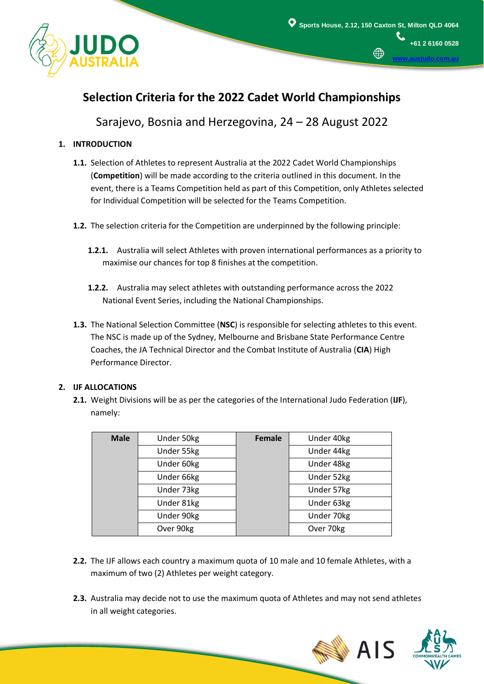

**[www.ausjudo.com.au](http://www.ausjudo.com.au/)**

# **Selection Criteria for the 2022 Cadet World Championships**

Sarajevo, Bosnia and Herzegovina, 24 – 28 August 2022

## **1. INTRODUCTION**

- **1.1.** Selection of Athletes to represent Australia at the 2022 Cadet World Championships (**Competition**) will be made according to the criteria outlined in this document. In the event, there is a Teams Competition held as part of this Competition, only Athletes selected for Individual Competition will be selected for the Teams Competition.
- **1.2.** The selection criteria for the Competition are underpinned by the following principle:
	- **1.2.1.** Australia will select Athletes with proven international performances as a priority to maximise our chances for top 8 finishes at the competition.
	- **1.2.2.** Australia may select athletes with outstanding performance across the 2022 National Event Series, including the National Championships.
- **1.3.** The National Selection Committee (**NSC**) is responsible for selecting athletes to this event. The NSC is made up of the Sydney, Melbourne and Brisbane State Performance Centre Coaches, the JA Technical Director and the Combat Institute of Australia (**CIA**) High Performance Director.

## **2. IJF ALLOCATIONS**

i

**2.1.** Weight Divisions will be as per the categories of the International Judo Federation (**IJF**), namely:

| <b>Male</b> | Under 50kg | Female | Under 40kg |
|-------------|------------|--------|------------|
|             | Under 55kg |        | Under 44kg |
|             | Under 60kg |        | Under 48kg |
|             | Under 66kg |        | Under 52kg |
|             | Under 73kg |        | Under 57kg |
|             | Under 81kg |        | Under 63kg |
|             | Under 90kg |        | Under 70kg |
|             | Over 90kg  |        | Over 70kg  |

- **2.2.** The IJF allows each country a maximum quota of 10 male and 10 female Athletes, with a maximum of two (2) Athletes per weight category.
- **2.3.** Australia may decide not to use the maximum quota of Athletes and may not send athletes in all weight categories.



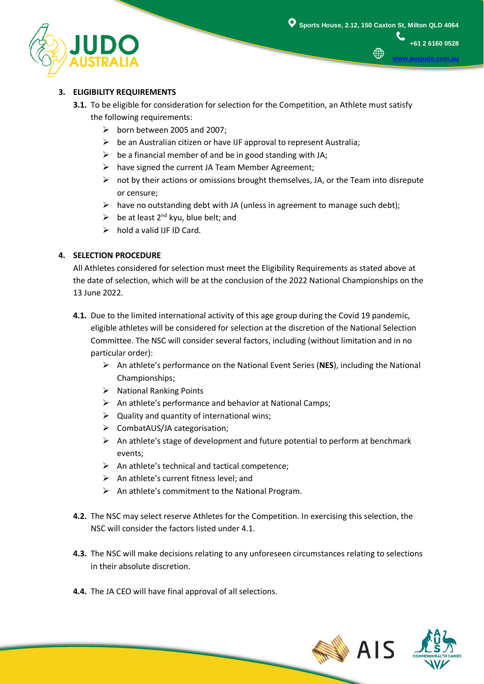

∰

**+61 2 6160 0528**

**[www.ausjudo.com.au](http://www.ausjudo.com.au/)**

### **3. ELIGIBILITY REQUIREMENTS**

- **3.1.** To be eligible for consideration for selection for the Competition, an Athlete must satisfy the following requirements:
	- $\triangleright$  born between 2005 and 2007;
	- $\triangleright$  be an Australian citizen or have IJF approval to represent Australia;
	- $\triangleright$  be a financial member of and be in good standing with JA;
	- $\triangleright$  have signed the current JA Team Member Agreement;
	- $\triangleright$  not by their actions or omissions brought themselves, JA, or the Team into disrepute or censure;
	- $\triangleright$  have no outstanding debt with JA (unless in agreement to manage such debt);
	- $\triangleright$  be at least 2<sup>nd</sup> kyu, blue belt; and
	- $\triangleright$  hold a valid IJF ID Card.

#### **4. SELECTION PROCEDURE**

All Athletes considered for selection must meet the Eligibility Requirements as stated above at the date of selection, which will be at the conclusion of the 2022 National Championships on the 13 June 2022.

- **4.1.** Due to the limited international activity of this age group during the Covid 19 pandemic, eligible athletes will be considered for selection at the discretion of the National Selection Committee. The NSC will consider several factors, including (without limitation and in no particular order):
	- An athlete's performance on the National Event Series (**NES**), including the National Championships;
	- $\triangleright$  National Ranking Points
	- $\triangleright$  An athlete's performance and behavior at National Camps;
	- $\triangleright$  Quality and quantity of international wins;
	- CombatAUS/JA categorisation;
	- $\triangleright$  An athlete's stage of development and future potential to perform at benchmark events;
	- $\triangleright$  An athlete's technical and tactical competence;
	- $\triangleright$  An athlete's current fitness level; and
	- $\triangleright$  An athlete's commitment to the National Program.
- **4.2.** The NSC may select reserve Athletes for the Competition. In exercising this selection, the NSC will consider the factors listed under 4.1.
- **4.3.** The NSC will make decisions relating to any unforeseen circumstances relating to selections in their absolute discretion.
- **4.4.** The JA CEO will have final approval of all selections.

i